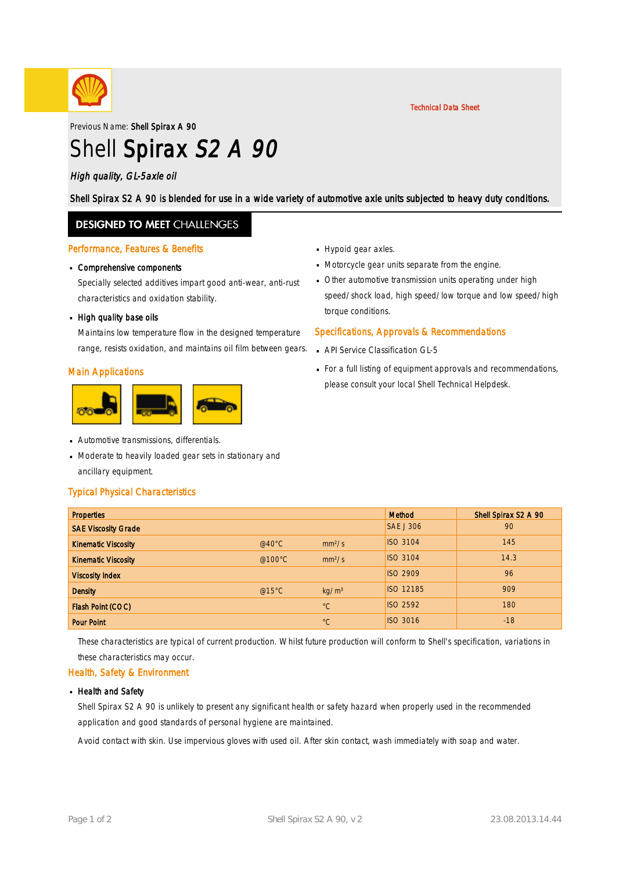

Previous Name: Shell Spirax A 90

# Shell Spirax S2 A 90

#### High quality, GL-5axle oil

Shell Spirax S2 A 90 is blended for use in a wide variety of automotive axle units subjected to heavy duty conditions.

### **DESIGNED TO MEET CHALLENGES**

#### Performance, Features & Benefits

## Comprehensive components ·

Specially selected additives impart good anti-wear, anti-rust characteristics and oxidation stability.

## - High quality base oils

Maintains low temperature flow in the designed temperature range, resists oxidation, and maintains oil film between gears.

#### Main Applications



- **Automotive transmissions, differentials.**
- Moderate to heavily loaded gear sets in stationary and · ancillary equipment.

#### Typical Physical Characteristics

- Hypoid gear axles.
- Motorcycle gear units separate from the engine. ·
- Other automotive transmission units operating under high · speed/shock load, high speed/low torque and low speed/high torque conditions.

Technical Data Sheet

#### Specifications, Approvals & Recommendations

- **API Service Classification GL-5**
- For a full listing of equipment approvals and recommendations, · please consult your local Shell Technical Helpdesk.

| <b>Properties</b>          |                  |                    | <b>Method</b>    | Shell Spirax S2 A 90 |
|----------------------------|------------------|--------------------|------------------|----------------------|
| <b>SAE Viscosity Grade</b> |                  |                    | <b>SAE J 306</b> | 90                   |
| <b>Kinematic Viscosity</b> | @40 $^{\circ}$ C | mm <sup>2</sup> /s | <b>ISO 3104</b>  | 145                  |
| <b>Kinematic Viscosity</b> | @100 $\degree$ C | mm <sup>2</sup> /s | <b>ISO 3104</b>  | 14.3                 |
| <b>Viscosity Index</b>     |                  |                    | <b>ISO 2909</b>  | 96                   |
| <b>Density</b>             | @15°C            | kg/m <sup>3</sup>  | <b>ISO 12185</b> | 909                  |
| Flash Point (COC)          |                  | $^{\circ}C$        | <b>ISO 2592</b>  | 180                  |
| <b>Pour Point</b>          |                  | $^{\circ}C$        | <b>ISO 3016</b>  | $-18$                |

These characteristics are typical of current production. Whilst future production will conform to Shell's specification, variations in these characteristics may occur.

#### Health, Safety & Environment

#### **Health and Safety**

Shell Spirax S2 A 90 is unlikely to present any significant health or safety hazard when properly used in the recommended application and good standards of personal hygiene are maintained.

Avoid contact with skin. Use impervious gloves with used oil. After skin contact, wash immediately with soap and water.